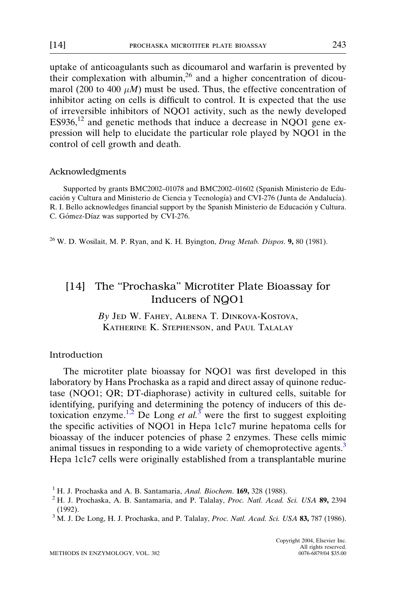<span id="page-0-0"></span>uptake of anticoagulants such as dicoumarol and warfarin is prevented by their complexation with albumin, <sup>26</sup> and a higher concentration of dicoumarol (200 to 400  $\mu$ M) must be used. Thus, the effective concentration of inhibitor acting on cells is difficult to control. It is expected that the use of irreversible inhibitors of NQO1 activity, such as the newly developed ES936,<sup>12</sup> and genetic methods that induce a decrease in NQO1 gene expression will help to elucidate the particular role played by NQO1 in the control of cell growth and death.

#### Acknowledgments

Supported by grants BMC2002–01078 and BMC2002–01602 (Spanish Ministerio de Educación y Cultura and Ministerio de Ciencia y Tecnología) and CVI-276 (Junta de Andalucía). R. I. Bello acknowledges financial support by the Spanish Ministerio de Educación y Cultura. C. Gómez-Díaz was supported by CVI-276.

 $26$  W. D. Wosilait, M. P. Ryan, and K. H. Byington, Drug Metab. Dispos. 9, 80 (1981).

# [14] The ''Prochaska'' Microtiter Plate Bioassay for Inducers of NQO1

By Jed W. Fahey, Albena T. Dinkova-Kostova, Katherine K. Stephenson, and Paul Talalay

## Introduction

The microtiter plate bioassay for NQO1 was first developed in this laboratory by Hans Prochaska as a rapid and direct assay of quinone reductase (NQO1; QR; DT-diaphorase) activity in cultured cells, suitable for identifying, purifying and determining the potency of inducers of this detoxication enzyme.<sup>1,2</sup> De Long et al.<sup>3</sup> were the first to suggest exploiting the specific activities of NQO1 in Hepa 1c1c7 murine hepatoma cells for bioassay of the inducer potencies of phase 2 enzymes. These cells mimic animal tissues in responding to a wide variety of chemoprotective agents.<sup>3</sup> Hepa 1c1c7 cells were originally established from a transplantable murine

<sup>&</sup>lt;sup>1</sup> H. J. Prochaska and A. B. Santamaria, *Anal. Biochem.* **169**, 328 (1988). <sup>2</sup> H. J. Prochaska, A. B. Santamaria, and P. Talalay, *Proc. Natl. Acad. Sci. USA* 89, 2394 (1992).

<sup>&</sup>lt;sup>3</sup> M. J. De Long, H. J. Prochaska, and P. Talalay, Proc. Natl. Acad. Sci. USA 83, 787 (1986).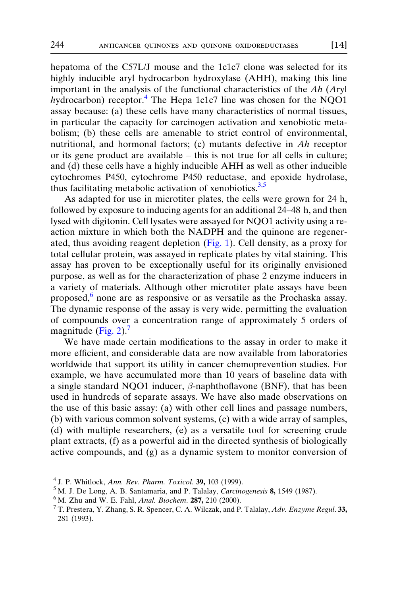<span id="page-1-0"></span>hepatoma of the C57L/J mouse and the 1c1c7 clone was selected for its highly inducible aryl hydrocarbon hydroxylase (AHH), making this line important in the analysis of the functional characteristics of the Ah (Aryl hydrocarbon) receptor.<sup>4</sup> The Hepa 1c1c7 line was chosen for the NQO1 assay because: (a) these cells have many characteristics of normal tissues, in particular the capacity for carcinogen activation and xenobiotic metabolism; (b) these cells are amenable to strict control of environmental, nutritional, and hormonal factors; (c) mutants defective in Ah receptor or its gene product are available – this is not true for all cells in culture; and (d) these cells have a highly inducible AHH as well as other inducible cytochromes P450, cytochrome P450 reductase, and epoxide hydrolase, thus facilitating metabolic activation of xenobiotics. $3,5$ 

As adapted for use in microtiter plates, the cells were grown for 24 h, followed by exposure to inducing agents for an additional 24–48 h, and then lysed with digitonin. Cell lysates were assayed for NQO1 activity using a reaction mixture in which both the NADPH and the quinone are regenerated, thus avoiding reagent depletion [\(Fig. 1\)](#page-2-0). Cell density, as a proxy for total cellular protein, was assayed in replicate plates by vital staining. This assay has proven to be exceptionally useful for its originally envisioned purpose, as well as for the characterization of phase 2 enzyme inducers in a variety of materials. Although other microtiter plate assays have been proposed,<sup>6</sup> none are as responsive or as versatile as the Prochaska assay. The dynamic response of the assay is very wide, permitting the evaluation of compounds over a concentration range of approximately 5 orders of magnitude ([Fig. 2\)](#page-3-0). $<sup>7</sup>$ </sup>

We have made certain modifications to the assay in order to make it more efficient, and considerable data are now available from laboratories worldwide that support its utility in cancer chemoprevention studies. For example, we have accumulated more than 10 years of baseline data with a single standard NQO1 inducer,  $\beta$ -naphthoflavone (BNF), that has been used in hundreds of separate assays. We have also made observations on the use of this basic assay: (a) with other cell lines and passage numbers, (b) with various common solvent systems, (c) with a wide array of samples, (d) with multiple researchers, (e) as a versatile tool for screening crude plant extracts, (f) as a powerful aid in the directed synthesis of biologically active compounds, and (g) as a dynamic system to monitor conversion of

<sup>&</sup>lt;sup>4</sup> J. P. Whitlock, *Ann. Rev. Pharm. Toxicol.* **39**, 103 (1999).<br><sup>5</sup> M. J. De Long, A. B. Santamaria, and P. Talalay, *Carcinogenesis* **8**, 1549 (1987).<br><sup>6</sup> M. Zhu and W. E. Fahl, *Anal. Biochem.* **287**, 210 (2000).<br><sup>7</sup> 281 (1993).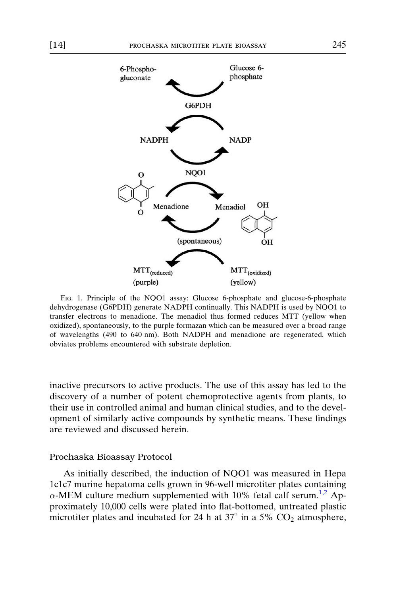<span id="page-2-0"></span>

Fig. 1. Principle of the NQO1 assay: Glucose 6-phosphate and glucose-6-phosphate dehydrogenase (G6PDH) generate NADPH continually. This NADPH is used by NQO1 to transfer electrons to menadione. The menadiol thus formed reduces MTT (yellow when oxidized), spontaneously, to the purple formazan which can be measured over a broad range of wavelengths (490 to 640 nm). Both NADPH and menadione are regenerated, which obviates problems encountered with substrate depletion.

inactive precursors to active products. The use of this assay has led to the discovery of a number of potent chemoprotective agents from plants, to their use in controlled animal and human clinical studies, and to the development of similarly active compounds by synthetic means. These findings are reviewed and discussed herein.

#### Prochaska Bioassay Protocol

As initially described, the induction of NQO1 was measured in Hepa 1c1c7 murine hepatoma cells grown in 96-well microtiter plates containing  $\alpha$ -MEM culture medium supplemented with 10% fetal calf serum.<sup>[1,2](#page-0-0)</sup> Approximately 10,000 cells were plated into flat-bottomed, untreated plastic microtiter plates and incubated for 24 h at  $37^{\circ}$  in a 5%  $CO<sub>2</sub>$  atmosphere,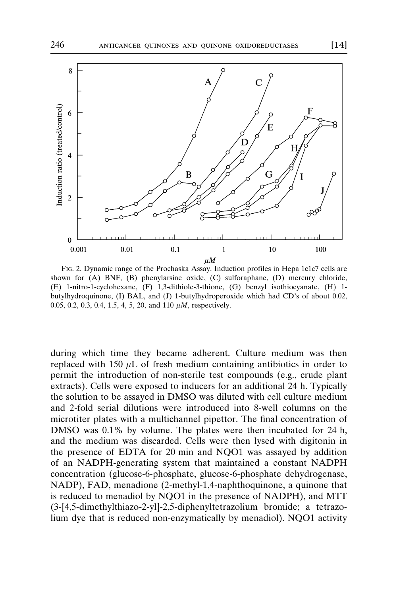<span id="page-3-0"></span>

Fig. 2. Dynamic range of the Prochaska Assay. Induction profiles in Hepa 1c1c7 cells are shown for (A) BNF, (B) phenylarsine oxide, (C) sulforaphane, (D) mercury chloride, (E) 1-nitro-1-cyclohexane, (F) 1,3-dithiole-3-thione, (G) benzyl isothiocyanate, (H) 1 butylhydroquinone, (I) BAL, and (J) 1-butylhydroperoxide which had CD's of about 0.02, 0.05, 0.2, 0.3, 0.4, 1.5, 4, 5, 20, and 110  $\mu$ *M*, respectively.

during which time they became adherent. Culture medium was then replaced with 150  $\mu$ L of fresh medium containing antibiotics in order to permit the introduction of non-sterile test compounds (e.g., crude plant extracts). Cells were exposed to inducers for an additional 24 h. Typically the solution to be assayed in DMSO was diluted with cell culture medium and 2-fold serial dilutions were introduced into 8-well columns on the microtiter plates with a multichannel pipettor. The final concentration of DMSO was 0.1% by volume. The plates were then incubated for 24 h, and the medium was discarded. Cells were then lysed with digitonin in the presence of EDTA for 20 min and NQO1 was assayed by addition of an NADPH-generating system that maintained a constant NADPH concentration (glucose-6-phosphate, glucose-6-phosphate dehydrogenase, NADP), FAD, menadione (2-methyl-1,4-naphthoquinone, a quinone that is reduced to menadiol by NQO1 in the presence of NADPH), and MTT (3-[4,5-dimethylthiazo-2-yl]-2,5-diphenyltetrazolium bromide; a tetrazolium dye that is reduced non-enzymatically by menadiol). NQO1 activity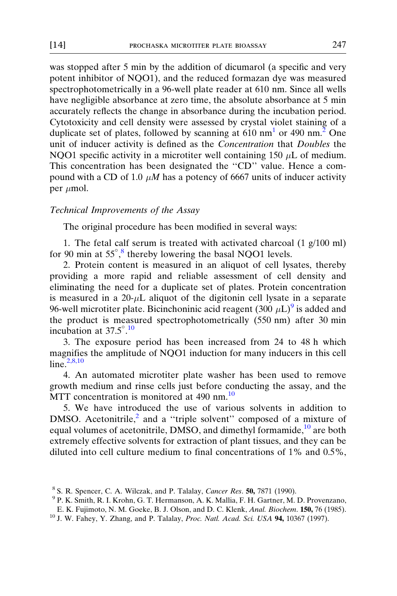<span id="page-4-0"></span>was stopped after 5 min by the addition of dicumarol (a specific and very potent inhibitor of NQO1), and the reduced formazan dye was measured spectrophotometrically in a 96-well plate reader at 610 nm. Since all wells have negligible absorbance at zero time, the absolute absorbance at 5 min accurately reflects the change in absorbance during the incubation period. Cytotoxicity and cell density were assessed by crystal violet staining of a duplicate set of plates, followed by scanning at  $610 \text{ nm}^1$  or 490 nm.<sup>[2](#page-0-0)</sup> One unit of inducer activity is defined as the Concentration that Doubles the NQO1 specific activity in a microtiter well containing 150  $\mu$ L of medium. This concentration has been designated the "CD" value. Hence a compound with a CD of 1.0  $\mu$ M has a potency of 6667 units of inducer activity per  $\mu$ mol.

#### Technical Improvements of the Assay

The original procedure has been modified in several ways:

1. The fetal calf serum is treated with activated charcoal (1 g/100 ml) for 90 min at 55°,<sup>8</sup> thereby lowering the basal NQO1 levels.

2. Protein content is measured in an aliquot of cell lysates, thereby providing a more rapid and reliable assessment of cell density and eliminating the need for a duplicate set of plates. Protein concentration is measured in a  $20-\mu L$  aliquot of the digitonin cell lysate in a separate 96-well microtiter plate. Bicinchoninic acid reagent (300  $\mu$ L)<sup>9</sup> is added and the product is measured spectrophotometrically (550 nm) after 30 min incubation at  $37.5^{\circ}$ .<sup>10</sup>

3. The exposure period has been increased from 24 to 48 h which magnifies the amplitude of NQO1 induction for many inducers in this cell line $2,8,10$ 

4. An automated microtiter plate washer has been used to remove growth medium and rinse cells just before conducting the assay, and the MTT concentration is monitored at 490 nm. $^{10}$ 

5. We have introduced the use of various solvents in addition to DMSO. Acetonitrile, $^2$  $^2$  and a "triple solvent" composed of a mixture of equal volumes of acetonitrile, DMSO, and dimethyl formamide,<sup>10</sup> are both extremely effective solvents for extraction of plant tissues, and they can be diluted into cell culture medium to final concentrations of 1% and 0.5%,

<sup>&</sup>lt;sup>8</sup> S. R. Spencer, C. A. Wilczak, and P. Talalay, *Cancer Res.* **50**, 7871 (1990). <sup>9</sup> P. K. Smith, R. I. Krohn, G. T. Hermanson, A. K. Mallia, F. H. Gartner, M. D. Provenzano,

E. K. Fujimoto, N. M. Goeke, B. J. Olson, and D. C. Klenk, *Anal. Biochem.* **150**, 76 (1985). <sup>10</sup> J. W. Fahey, Y. Zhang, and P. Talalay, *Proc. Natl. Acad. Sci. USA* **94**, 10367 (1997).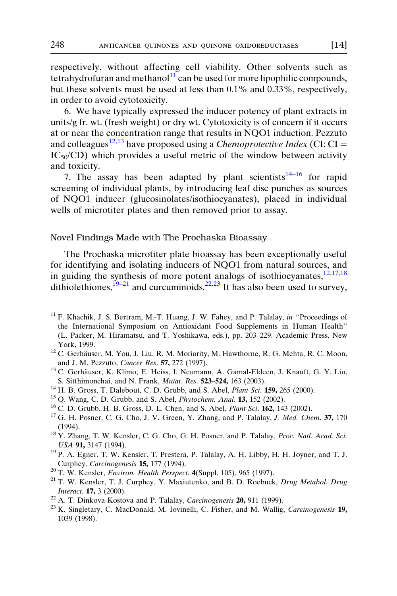<span id="page-5-0"></span>respectively, without affecting cell viability. Other solvents such as tetrahydrofuran and methanol $11$  can be used for more lipophilic compounds, but these solvents must be used at less than 0.1% and 0.33%, respectively, in order to avoid cytotoxicity.

6. We have typically expressed the inducer potency of plant extracts in units/g fr. wt. (fresh weight) or dry wt. Cytotoxicity is of concern if it occurs at or near the concentration range that results in NQO1 induction. Pezzuto and colleagues<sup>12,13</sup> have proposed using a *Chemoprotective Index* (CI; CI =  $IC_{50}/CD$ ) which provides a useful metric of the window between activity and toxicity.

7. The assay has been adapted by plant scientists<sup>14–16</sup> for rapid screening of individual plants, by introducing leaf disc punches as sources of NQO1 inducer (glucosinolates/isothiocyanates), placed in individual wells of microtiter plates and then removed prior to assay.

### Novel Findings Made with The Prochaska Bioassay

The Prochaska microtiter plate bioassay has been exceptionally useful for identifying and isolating inducers of NQO1 from natural sources, and in guiding the synthesis of more potent analogs of isothiocyanates, $12,17,18$ dithiolethiones, $19-21$  and curcuminoids.<sup>22,23</sup> It has also been used to survey,

- 
- and J. M. Pezzuto, Cancer Res. 57, 272 (1997).<br><sup>13</sup> C. Gerhäuser, K. Klimo, E. Heiss, I. Neumann, A. Gamal-Eldeen, J. Knauft, G. Y. Liu, S. Sitthimonchai, and N. Frank, *Mutat. Res.* 523–524, 163 (2003).
- 
- 
- 
- <sup>14</sup> H. B. Gross, T. Dalebout, C. D. Grubb, and S. Abel, *Plant Sci.* **159**, 265 (2000).<br><sup>15</sup> Q. Wang, C. D. Grubb, and S. Abel, *Phytochem. Anal.* **13**, 152 (2002).<br><sup>16</sup> C. D. Grubb, H. B. Gross, D. L. Chen, and S. Abel,
- (1994).<br><sup>18</sup> Y. Zhang, T. W. Kensler, C. G. Cho, G. H. Posner, and P. Talalay, *Proc. Natl. Acad. Sci.* USA 91, 3147 (1994).<br><sup>19</sup> P. A. Egner, T. W. Kensler, T. Prestera, P. Talalay, A. H. Libby, H. H. Joyner, and T. J.
- Curphey, Carcinogenesis 15, 177 (1994).<br><sup>20</sup> T. W. Kensler, *Environ. Health Perspect.* 4(Suppl. 105), 965 (1997).<br><sup>21</sup> T. W. Kensler, T. J. Curphey, Y. Maxiutenko, and B. D. Roebuck, *Drug Metabol. Drug*
- 
- *Interact.* **17,** 3 (2000).<br><sup>22</sup> A. T. Dinkova-Kostova and P. Talalay, *Carcinogenesis* **20**, 911 (1999).<br><sup>23</sup> K. Singletary, C. MacDonald, M. Iovinelli, C. Fisher, and M. Wallig, *Carcinogenesis* **19**,
- 
- 1039 (1998).

 $11$  F. Khachik, J. S. Bertram, M.-T. Huang, J. W. Fahey, and P. Talalay, in "Proceedings of the International Symposium on Antioxidant Food Supplements in Human Health'' (L. Packer, M. Hiramatsu, and T. Yoshikawa, eds.), pp. 203–229. Academic Press, New York, 1999.<br><sup>12</sup> C. Gerhäuser, M. You, J. Liu, R. M. Moriarity, M. Hawthorne, R. G. Mehta, R. C. Moon,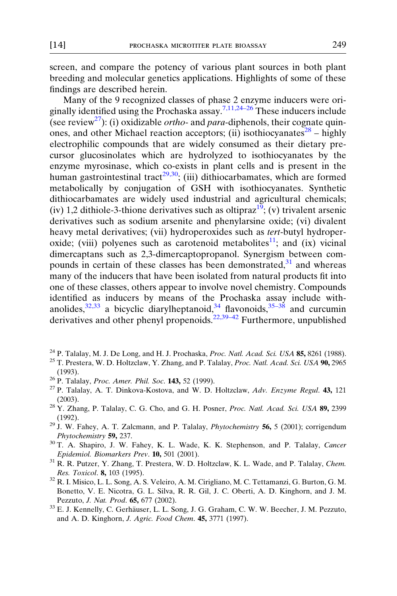<span id="page-6-0"></span>screen, and compare the potency of various plant sources in both plant breeding and molecular genetics applications. Highlights of some of these findings are described herein.

Many of the 9 recognized classes of phase 2 enzyme inducers were ori-ginally identified using the Prochaska assay.<sup>[7,11,24–26](#page-1-0)</sup> These inducers include (see review<sup>27</sup>): (i) oxidizable *ortho-* and *para-diphenols*, their cognate quinones, and other Michael reaction acceptors; (ii) isothiocyanates<sup>28</sup> – highly electrophilic compounds that are widely consumed as their dietary precursor glucosinolates which are hydrolyzed to isothiocyanates by the enzyme myrosinase, which co-exists in plant cells and is present in the human gastrointestinal tract<sup>29,30</sup>; (iii) dithiocarbamates, which are formed metabolically by conjugation of GSH with isothiocyanates. Synthetic dithiocarbamates are widely used industrial and agricultural chemicals; (iv) 1,2 dithiole-3-thione derivatives such as oltipraz<sup>19</sup>; (v) trivalent arsenic derivatives such as sodium arsenite and phenylarsine oxide; (vi) divalent heavy metal derivatives; (vii) hydroperoxides such as tert-butyl hydroper-oxide; (viii) polyenes such as carotenoid metabolites<sup>[11](#page-5-0)</sup>; and (ix) vicinal dimercaptans such as 2,3-dimercaptopropanol. Synergism between compounds in certain of these classes has been demonstrated, $31$  and whereas many of the inducers that have been isolated from natural products fit into one of these classes, others appear to involve novel chemistry. Compounds identified as inducers by means of the Prochaska assay include withanolides,  $32,33$  a bicyclic diarylheptanoid,  $34$  flavonoids,  $35-38$  and curcumin derivatives and other phenyl propenoids.<sup>[22,39–42](#page-5-0)</sup> Furthermore, unpublished

- 
- <sup>24</sup> P. Talalay, M. J. De Long, and H. J. Prochaska, *Proc. Natl. Acad. Sci. USA* **85,** 8261 (1988). <sup>25</sup> T. Prestera, W. D. Holtzclaw, Y. Zhang, and P. Talalay, *Proc. Natl. Acad. Sci. USA* **90**, 2965 (1993).<br><sup>26</sup> P. Talalay, *Proc. Amer. Phil. Soc.* **143,** 52 (1999).<br><sup>27</sup> P. Talalay, A. T. Dinkova-Kostova, and W. D. Holtzclaw, *Adv. Enzyme Regul.* **43,** 121
- 
- 
- (2003).<br><sup>28</sup> Y. Zhang, P. Talalay, C. G. Cho, and G. H. Posner, *Proc. Natl. Acad. Sci. USA* **89**, 2399
- (1992).<br><sup>29</sup> J. W. Fahey, A. T. Zalcmann, and P. Talalay, *Phytochemistry* **56**, 5 (2001); corrigendum Phytochemistry 59, 237.<br><sup>30</sup> T. A. Shapiro, J. W. Fahey, K. L. Wade, K. K. Stephenson, and P. Talalay, *Cancer*
- Epidemiol. Biomarkers Prev. **10**, 501 (2001).  $31$  R. R. Putzer, Y. Zhang, T. Prestera, W. D. Holtzclaw, K. L. Wade, and P. Talalay, *Chem.*
- Res. Toxicol. 8, 103 (1995).<br><sup>32</sup> R. I. Misico, L. L. Song, A. S. Veleiro, A. M. Cirigliano, M. C. Tettamanzi, G. Burton, G. M.
- Bonetto, V. E. Nicotra, G. L. Silva, R. R. Gil, J. C. Oberti, A. D. Kinghorn, and J. M. Pezzuto, *J. Nat. Prod.* 65, 677 (2002). <sup>33</sup> E. J. Kennelly, C. Gerhäuser, L. L. Song, J. G. Graham, C. W. W. Beecher, J. M. Pezzuto,
- and A. D. Kinghorn, *J. Agric. Food Chem.* **45,** 3771 (1997).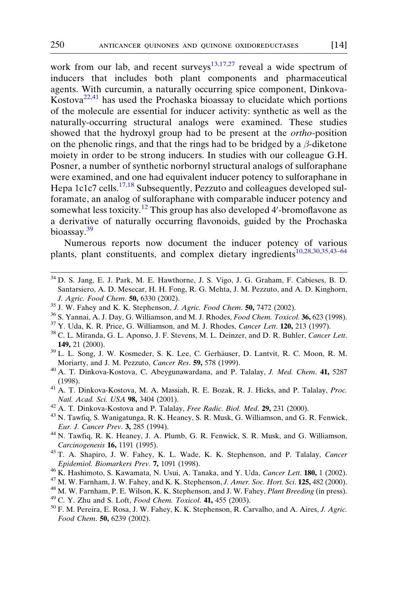<span id="page-7-0"></span>work from our lab, and recent surveys<sup>[13,17,27](#page-5-0)</sup> reveal a wide spectrum of inducers that includes both plant components and pharmaceutical agents. With curcumin, a naturally occurring spice component, Dinkova-Kostova[22,41](#page-5-0) has used the Prochaska bioassay to elucidate which portions of the molecule are essential for inducer activity: synthetic as well as the naturally-occurring structural analogs were examined. These studies showed that the hydroxyl group had to be present at the *ortho-position* on the phenolic rings, and that the rings had to be bridged by a  $\beta$ -diketone moiety in order to be strong inducers. In studies with our colleague G.H. Posner, a number of synthetic norbornyl structural analogs of sulforaphane were examined, and one had equivalent inducer potency to sulforaphane in Hepa 1c1c7 cells.<sup>[17,18](#page-5-0)</sup> Subsequently, Pezzuto and colleagues developed sulforamate, an analog of sulforaphane with comparable inducer potency and somewhat less toxicity.<sup>[12](#page-5-0)</sup> This group has also developed 4'-bromoflavone as a derivative of naturally occurring flavonoids, guided by the Prochaska bioassay.<sup>39</sup>

Numerous reports now document the inducer potency of various plants, plant constituents, and complex dietary ingredients<sup>10,28,30,35,43-64</sup>

- <sup>34</sup> D. S. Jang, E. J. Park, M. E. Hawthorne, J. S. Vigo, J. G. Graham, F. Cabieses, B. D. Santarsiero, A. D. Mesecar, H. H. Fong, R. G. Mehta, J. M. Pezzuto, and A. D. Kinghorn, *J. Agric. Food Chem.* **50**, 6330 (2002).<br><sup>35</sup> J. W. Fahey and K. K. Stephenson, *J. Agric. Food Chem.* **50**, 7472 (2002).<br><sup>36</sup> S. Yannai, A. J. Day, G. Williamson, and M. J. Rhodes, *Food Chem. Toxicol*. **36**, 623 (1998).
- 
- 
- 
- **149,** 21 (2000).<br><sup>39</sup> L. L. Song, J. W. Kosmeder, S. K. Lee, C. Gerhäuser, D. Lantvit, R. C. Moon, R. M.
- Moriarty, and J. M. Pezzuto, Cancer Res. 59, 578 (1999).<br><sup>40</sup> A. T. Dinkova-Kostova, C. Abeygunawardana, and P. Talalay, *J. Med. Chem.* **41,** 5287
- 
- (1998).  $^{41}$  A. T. Dinkova-Kostova, M. A. Massiah, R. E. Bozak, R. J. Hicks, and P. Talalay, *Proc. Natl. Acad. Sci. USA* **98,** 3404 (2001).
- 
- <sup>42</sup> A. T. Dinkova-Kostova and P. Talalay, *Free Radic. Biol. Med.* **29,** 231 (2000).  $^{43}$  N. Tawfiq, S. Wanigatunga, R. K. Heaney, S. R. Musk, G. Williamson, and G. R. Fenwick, Eur. J. Cancer Prev. 3, 285 (1994).<br><sup>44</sup> N. Tawfiq, R. K. Heaney, J. A. Plumb, G. R. Fenwick, S. R. Musk, and G. Williamson,
- 
- Carcinogenesis 16, 1191 (1995).<br><sup>45</sup> T. A. Shapiro, J. W. Fahey, K. L. Wade, K. K. Stephenson, and P. Talalay, *Cancer*<br>Epidemiol. Biomarkers Prev. 7, 1091 (1998).
- 
- 
- <sup>46</sup> K. Hashimoto, S. Kawamata, N. Usui, A. Tanaka, and Y. Uda, *Cancer Lett.* **180,** 1 (2002).<br><sup>47</sup> M. W. Farnham, J. W. Fahey, and K. K. Stephenson, *J. Amer. Soc. Hort. Sci*. **125**, 482 (2000).<br><sup>48</sup> M. W. Farnham, P. E
- 
- Food Chem. 50, 6239 (2002).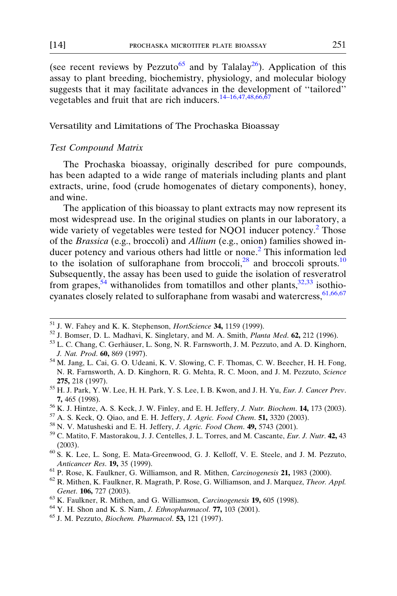(see recent reviews by Pezzuto<sup>65</sup> and by Talalay<sup>[26](#page-6-0)</sup>). Application of this assay to plant breeding, biochemistry, physiology, and molecular biology suggests that it may facilitate advances in the development of ''tailored'' vegetables and fruit that are rich inducers.[14–16,47,48,66,67](#page-5-0)

### Versatility and Limitations of The Prochaska Bioassay

#### Test Compound Matrix

The Prochaska bioassay, originally described for pure compounds, has been adapted to a wide range of materials including plants and plant extracts, urine, food (crude homogenates of dietary components), honey, and wine.

The application of this bioassay to plant extracts may now represent its most widespread use. In the original studies on plants in our laboratory, a wide variety of vegetables were tested for NQO1 inducer potency.<sup>[2](#page-0-0)</sup> Those of the Brassica (e.g., broccoli) and Allium (e.g., onion) families showed in-ducer potency and various others had little or none.<sup>[2](#page-0-0)</sup> This information led to the isolation of sulforaphane from broccoli,<sup>[28](#page-6-0)</sup> and broccoli sprouts.<sup>[10](#page-4-0)</sup> Subsequently, the assay has been used to guide the isolation of resveratrol from grapes,  $54$  withanolides from tomatillos and other plants,  $32,33$  isothiocyanates closely related to sulforaphane from wasabi and watercress,  $61,66,67$ 

<sup>51</sup> J. W. Fahey and K. K. Stephenson, *HortScience* **34**, 1159 (1999).<br><sup>52</sup> J. Bomser, D. L. Madhavi, K. Singletary, and M. A. Smith, *Planta Med.* **62**, 212 (1996).<br><sup>53</sup> L. C. Chang, C. Gerhäuser, L. Song, N. R. Farnswo

- **7,** 465 (1998).<br><sup>56</sup> K. J. Hintze, A. S. Keck, J. W. Finley, and E. H. Jeffery, *J. Nutr. Biochem*. **14,** 173 (2003).<br><sup>57</sup> A. S. Keck, Q. Qiao, and E. H. Jeffery, *J. Agric. Food Chem.* **51,** 3320 (2003).<br><sup>58</sup> N. V. Matu
- 
- 
- 
- (2003).  $^{60}$  S. K. Lee, L. Song, E. Mata-Greenwood, G. J. Kelloff, V. E. Steele, and J. M. Pezzuto,
- Anticancer Res. 19, 35 (1999).<br><sup>61</sup> P. Rose, K. Faulkner, G. Williamson, and R. Mithen, *Carcinogenesis* 21, 1983 (2000).<br><sup>62</sup> R. Mithen, K. Faulkner, R. Magrath, P. Rose, G. Williamson, and J. Marquez, *Theor. Appl.*
- 
- Genet. **106**, 727 (2003). <sup>63</sup> K. Faulkner, R. Mithen, and G. Williamson, *Carcinogenesis* **19**, 605 (1998). <sup>64</sup> Y. H. Shon and K. S. Nam, *J. Ethnopharmacol. 77, 103 (2001).* <sup>65</sup> J. M. Pezzuto, *Biochem. Pharmacol.*
- 
- 
- 

<span id="page-8-0"></span>

J. Nat. Prod. 60, 869 (1997).<br><sup>54</sup> M. Jang, L. Cai, G. O. Udeani, K. V. Slowing, C. F. Thomas, C. W. Beecher, H. H. Fong, N. R. Farnsworth, A. D. Kinghorn, R. G. Mehta, R. C. Moon, and J. M. Pezzuto, Science 275, 218 (1997).<br><sup>55</sup> H. J. Park, Y. W. Lee, H. H. Park, Y. S. Lee, I. B. Kwon, and J. H. Yu, *Eur. J. Cancer Prev.*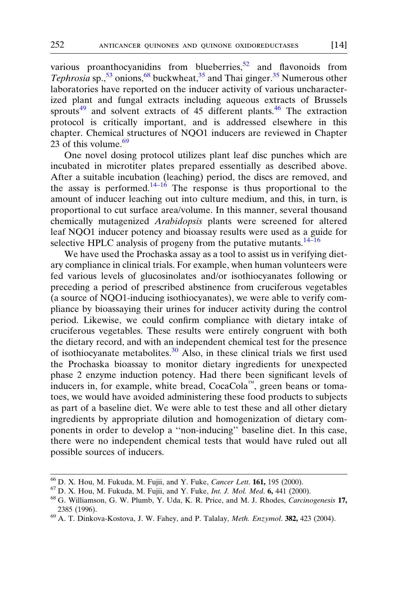various proanthocyanidins from blueberries, $52$  and flavonoids from Tephrosia sp.,  $53$  onions,  $68$  buckwheat,  $35$  and Thai ginger.  $35$  Numerous other laboratories have reported on the inducer activity of various uncharacterized plant and fungal extracts including aqueous extracts of Brussels sprouts<sup>[49](#page-7-0)</sup> and solvent extracts of 45 different plants.<sup>[46](#page-7-0)</sup> The extraction protocol is critically important, and is addressed elsewhere in this chapter. Chemical structures of NQO1 inducers are reviewed in Chapter 23 of this volume. $69$ 

One novel dosing protocol utilizes plant leaf disc punches which are incubated in microtiter plates prepared essentially as described above. After a suitable incubation (leaching) period, the discs are removed, and the assay is performed.<sup>[14–16](#page-5-0)</sup> The response is thus proportional to the amount of inducer leaching out into culture medium, and this, in turn, is proportional to cut surface area/volume. In this manner, several thousand chemically mutagenized Arabidopsis plants were screened for altered leaf NQO1 inducer potency and bioassay results were used as a guide for selective HPLC analysis of progeny from the putative mutants.  $14-16$ 

We have used the Prochaska assay as a tool to assist us in verifying dietary compliance in clinical trials. For example, when human volunteers were fed various levels of glucosinolates and/or isothiocyanates following or preceding a period of prescribed abstinence from cruciferous vegetables (a source of NQO1-inducing isothiocyanates), we were able to verify compliance by bioassaying their urines for inducer activity during the control period. Likewise, we could confirm compliance with dietary intake of cruciferous vegetables. These results were entirely congruent with both the dietary record, and with an independent chemical test for the presence of isothiocyanate metabolites.[30](#page-6-0) Also, in these clinical trials we first used the Prochaska bioassay to monitor dietary ingredients for unexpected phase 2 enzyme induction potency. Had there been significant levels of inducers in, for example, white bread, CocaCola<sup> $m$ </sup>, green beans or tomatoes, we would have avoided administering these food products to subjects as part of a baseline diet. We were able to test these and all other dietary ingredients by appropriate dilution and homogenization of dietary components in order to develop a ''non-inducing'' baseline diet. In this case, there were no independent chemical tests that would have ruled out all possible sources of inducers.

<sup>&</sup>lt;sup>66</sup> D. X. Hou, M. Fukuda, M. Fujii, and Y. Fuke, *Cancer Lett*. **161**, 195 (2000).<br><sup>67</sup> D. X. Hou, M. Fukuda, M. Fujii, and Y. Fuke, *Int. J. Mol. Med.* **6**, 441 (2000).<br><sup>68</sup> G. Williamson, G. W. Plumb, Y. Uda, K. R. Pri 2385 (1996).<br><sup>69</sup> A. T. Dinkova-Kostova, J. W. Fahey, and P. Talalay, *Meth. Enzymol.* **382,** 423 (2004).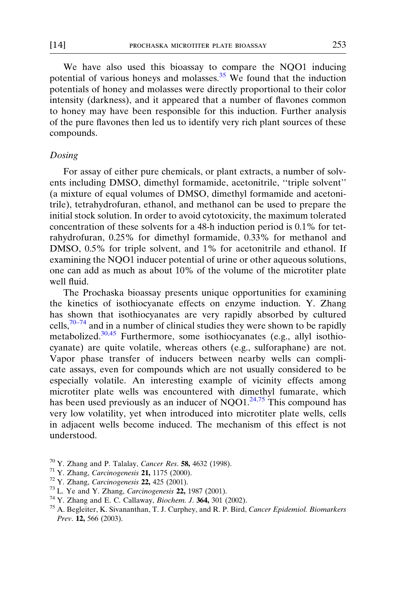We have also used this bioassay to compare the NQO1 inducing potential of various honeys and molasses. $35$  We found that the induction potentials of honey and molasses were directly proportional to their color intensity (darkness), and it appeared that a number of flavones common to honey may have been responsible for this induction. Further analysis of the pure flavones then led us to identify very rich plant sources of these compounds.

### Dosing

For assay of either pure chemicals, or plant extracts, a number of solvents including DMSO, dimethyl formamide, acetonitrile, ''triple solvent'' (a mixture of equal volumes of DMSO, dimethyl formamide and acetonitrile), tetrahydrofuran, ethanol, and methanol can be used to prepare the initial stock solution. In order to avoid cytotoxicity, the maximum tolerated concentration of these solvents for a 48-h induction period is 0.1% for tetrahydrofuran, 0.25% for dimethyl formamide, 0.33% for methanol and DMSO, 0.5% for triple solvent, and 1% for acetonitrile and ethanol. If examining the NQO1 inducer potential of urine or other aqueous solutions, one can add as much as about 10% of the volume of the microtiter plate well fluid.

The Prochaska bioassay presents unique opportunities for examining the kinetics of isothiocyanate effects on enzyme induction. Y. Zhang has shown that isothiocyanates are very rapidly absorbed by cultured cells, $70-74$  and in a number of clinical studies they were shown to be rapidly metabolized.<sup>[30,45](#page-6-0)</sup> Furthermore, some isothiocyanates (e.g., allyl isothiocyanate) are quite volatile, whereas others (e.g., sulforaphane) are not. Vapor phase transfer of inducers between nearby wells can complicate assays, even for compounds which are not usually considered to be especially volatile. An interesting example of vicinity effects among microtiter plate wells was encountered with dimethyl fumarate, which has been used previously as an inducer of  $NQO1.<sup>24,75</sup>$  $NQO1.<sup>24,75</sup>$  $NQO1.<sup>24,75</sup>$  This compound has very low volatility, yet when introduced into microtiter plate wells, cells in adjacent wells become induced. The mechanism of this effect is not understood.

<sup>&</sup>lt;sup>70</sup> Y. Zhang and P. Talalay, *Cancer Res.* **58**, 4632 (1998).<br><sup>71</sup> Y. Zhang, *Carcinogenesis* **21**, 1175 (2000).<br><sup>72</sup> Y. Zhang, *Carcinogenesis* **22**, 425 (2001).<br><sup>73</sup> L. Ye and Y. Zhang, *Carcinogenesis* **22**, 1987 (200 Prev. 12, 566 (2003).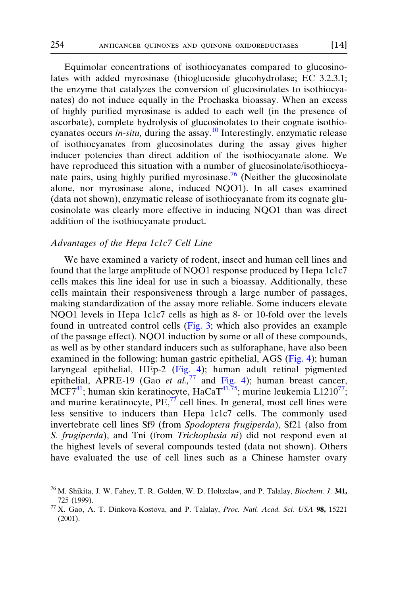Equimolar concentrations of isothiocyanates compared to glucosinolates with added myrosinase (thioglucoside glucohydrolase; EC 3.2.3.1; the enzyme that catalyzes the conversion of glucosinolates to isothiocyanates) do not induce equally in the Prochaska bioassay. When an excess of highly purified myrosinase is added to each well (in the presence of ascorbate), complete hydrolysis of glucosinolates to their cognate isothio-cyanates occurs in-situ, during the assay.<sup>[10](#page-4-0)</sup> Interestingly, enzymatic release of isothiocyanates from glucosinolates during the assay gives higher inducer potencies than direct addition of the isothiocyanate alone. We have reproduced this situation with a number of glucosinolate/isothiocyanate pairs, using highly purified myrosinase.<sup>76</sup> (Neither the glucosinolate alone, nor myrosinase alone, induced NQO1). In all cases examined (data not shown), enzymatic release of isothiocyanate from its cognate glucosinolate was clearly more effective in inducing NQO1 than was direct addition of the isothiocyanate product.

#### Advantages of the Hepa 1c1c7 Cell Line

We have examined a variety of rodent, insect and human cell lines and found that the large amplitude of NQO1 response produced by Hepa 1c1c7 cells makes this line ideal for use in such a bioassay. Additionally, these cells maintain their responsiveness through a large number of passages, making standardization of the assay more reliable. Some inducers elevate NQO1 levels in Hepa 1c1c7 cells as high as 8- or 10-fold over the levels found in untreated control cells ([Fig. 3](#page-12-0); which also provides an example of the passage effect). NQO1 induction by some or all of these compounds, as well as by other standard inducers such as sulforaphane, have also been examined in the following: human gastric epithelial, AGS [\(Fig. 4\)](#page-12-0); human laryngeal epithelial, HEp-2 ([Fig. 4\)](#page-12-0); human adult retinal pigmented epithelial, APRE-19 (Gao et al.,<sup>77</sup> and [Fig. 4\)](#page-12-0); human breast cancer, MCF7<sup>[41](#page-7-0)</sup>; human skin keratinocyte, HaCaT<sup>[41,75](#page-7-0)</sup>; murine leukemia L1210<sup>77</sup>; and murine keratinocyte,  $PE<sub>1</sub><sup>77</sup>$  cell lines. In general, most cell lines were less sensitive to inducers than Hepa 1c1c7 cells. The commonly used invertebrate cell lines Sf9 (from Spodoptera frugiperda), Sf21 (also from S. frugiperda), and Tni (from Trichoplusia ni) did not respond even at the highest levels of several compounds tested (data not shown). Others have evaluated the use of cell lines such as a Chinese hamster ovary

 $^{76}$  M. Shikita, J. W. Fahey, T. R. Golden, W. D. Holtzclaw, and P. Talalay, *Biochem. J.* 341,

<sup>725 (1999).&</sup>lt;br><sup>77</sup> X. Gao, A. T. Dinkova-Kostova, and P. Talalay, *Proc. Natl. Acad. Sci. USA* **98,** 15221 (2001).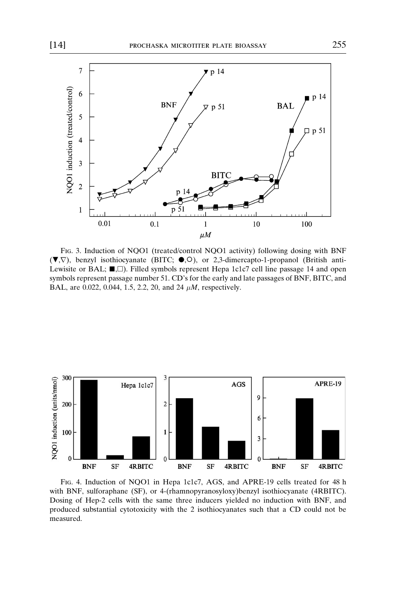<span id="page-12-0"></span>

Fig. 3. Induction of NQO1 (treated/control NQO1 activity) following dosing with BNF  $(\blacktriangledown, \nabla)$ , benzyl isothiocyanate (BITC;  $\blacktriangledown, \odot)$ , or 2,3-dimercapto-1-propanol (British anti-Lewisite or BAL;  $\blacksquare$ ,  $\square$ ). Filled symbols represent Hepa 1c1c7 cell line passage 14 and open symbols represent passage number 51. CD's for the early and late passages of BNF, BITC, and BAL, are 0.022, 0.044, 1.5, 2.2, 20, and 24  $\mu$ *M*, respectively.



Fig. 4. Induction of NQO1 in Hepa 1c1c7, AGS, and APRE-19 cells treated for 48 h with BNF, sulforaphane (SF), or 4-(rhamnopyranosyloxy)benzyl isothiocyanate (4RBITC). Dosing of Hep-2 cells with the same three inducers yielded no induction with BNF, and produced substantial cytotoxicity with the 2 isothiocyanates such that a CD could not be measured.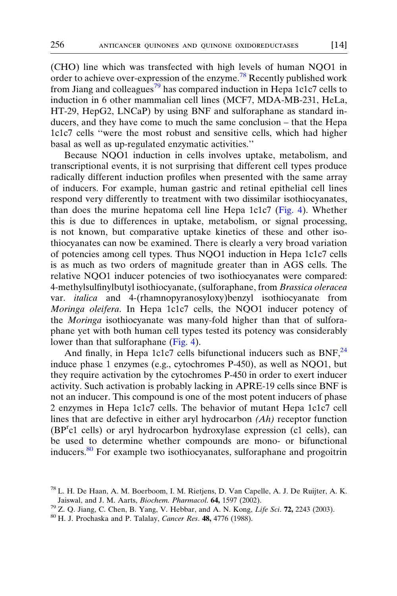(CHO) line which was transfected with high levels of human NQO1 in order to achieve over-expression of the enzyme.<sup>78</sup> Recently published work from Jiang and colleagues<sup>79</sup> has compared induction in Hepa 1c1c7 cells to induction in 6 other mammalian cell lines (MCF7, MDA-MB-231, HeLa, HT-29, HepG2, LNCaP) by using BNF and sulforaphane as standard inducers, and they have come to much the same conclusion – that the Hepa 1c1c7 cells ''were the most robust and sensitive cells, which had higher basal as well as up-regulated enzymatic activities.''

Because NQO1 induction in cells involves uptake, metabolism, and transcriptional events, it is not surprising that different cell types produce radically different induction profiles when presented with the same array of inducers. For example, human gastric and retinal epithelial cell lines respond very differently to treatment with two dissimilar isothiocyanates, than does the murine hepatoma cell line Hepa 1c1c7 [\(Fig. 4\)](#page-12-0). Whether this is due to differences in uptake, metabolism, or signal processing, is not known, but comparative uptake kinetics of these and other isothiocyanates can now be examined. There is clearly a very broad variation of potencies among cell types. Thus NQO1 induction in Hepa 1c1c7 cells is as much as two orders of magnitude greater than in AGS cells. The relative NQO1 inducer potencies of two isothiocyanates were compared: 4-methylsulfinylbutyl isothiocyanate, (sulforaphane, from Brassica oleracea var. italica and 4-(rhamnopyranosyloxy)benzyl isothiocyanate from Moringa oleifera. In Hepa 1c1c7 cells, the NQO1 inducer potency of the Moringa isothiocyanate was many-fold higher than that of sulforaphane yet with both human cell types tested its potency was considerably lower than that sulforaphane ([Fig. 4](#page-12-0)).

And finally, in Hepa 1c1c7 cells bifunctional inducers such as  $BNF<sub>1</sub><sup>24</sup>$  $BNF<sub>1</sub><sup>24</sup>$  $BNF<sub>1</sub><sup>24</sup>$ induce phase 1 enzymes (e.g., cytochromes P-450), as well as NQO1, but they require activation by the cytochromes P-450 in order to exert inducer activity. Such activation is probably lacking in APRE-19 cells since BNF is not an inducer. This compound is one of the most potent inducers of phase 2 enzymes in Hepa 1c1c7 cells. The behavior of mutant Hepa 1c1c7 cell lines that are defective in either aryl hydrocarbon  $(Ah)$  receptor function (BP<sup>r</sup> c1 cells) or aryl hydrocarbon hydroxylase expression (c1 cells), can be used to determine whether compounds are mono- or bifunctional inducers.<sup>80</sup> For example two isothiocyanates, sulforaphane and progoitrin

- 
- 

<sup>78</sup> L. H. De Haan, A. M. Boerboom, I. M. Rietjens, D. Van Capelle, A. J. De Ruijter, A. K. Jaiswal, and J. M. Aarts, *Biochem. Pharmacol*. **64,** 1597 (2002).<br><sup>79</sup> Z. Q. Jiang, C. Chen, B. Yang, V. Hebbar, and A. N. Kong, *Life Sci*. **72**, 2243 (2003). <sup>80</sup> H. J. Prochaska and P. Talalay, *Cancer Res.* **48,** 477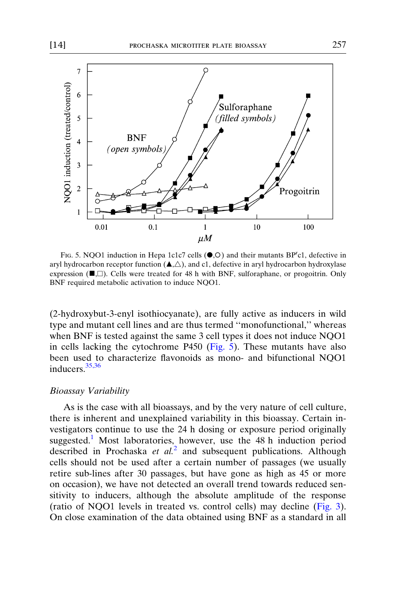

FIG. 5. NQO1 induction in Hepa 1c1c7 cells  $(\bullet, \circ)$  and their mutants BP<sup>r</sup>c1, defective in aryl hydrocarbon receptor function  $(\blacktriangle, \triangle)$ , and c1, defective in aryl hydrocarbon hydroxylase expression  $(\blacksquare, \square)$ . Cells were treated for 48 h with BNF, sulforaphane, or progoitrin. Only BNF required metabolic activation to induce NQO1.

(2-hydroxybut-3-enyl isothiocyanate), are fully active as inducers in wild type and mutant cell lines and are thus termed ''monofunctional,'' whereas when BNF is tested against the same 3 cell types it does not induce NQO1 in cells lacking the cytochrome P450 (Fig.  $5$ ). These mutants have also been used to characterize flavonoids as mono- and bifunctional NQO1 inducers.[35,36](#page-7-0)

#### Bioassay Variability

As is the case with all bioassays, and by the very nature of cell culture, there is inherent and unexplained variability in this bioassay. Certain investigators continue to use the 24 h dosing or exposure period originally suggested.<sup>[1](#page-0-0)</sup> Most laboratories, however, use the 48 h induction period described in Prochaska et  $al^2$  $al^2$  and subsequent publications. Although cells should not be used after a certain number of passages (we usually retire sub-lines after 30 passages, but have gone as high as 45 or more on occasion), we have not detected an overall trend towards reduced sensitivity to inducers, although the absolute amplitude of the response (ratio of NQO1 levels in treated vs. control cells) may decline ([Fig. 3](#page-12-0)). On close examination of the data obtained using BNF as a standard in all